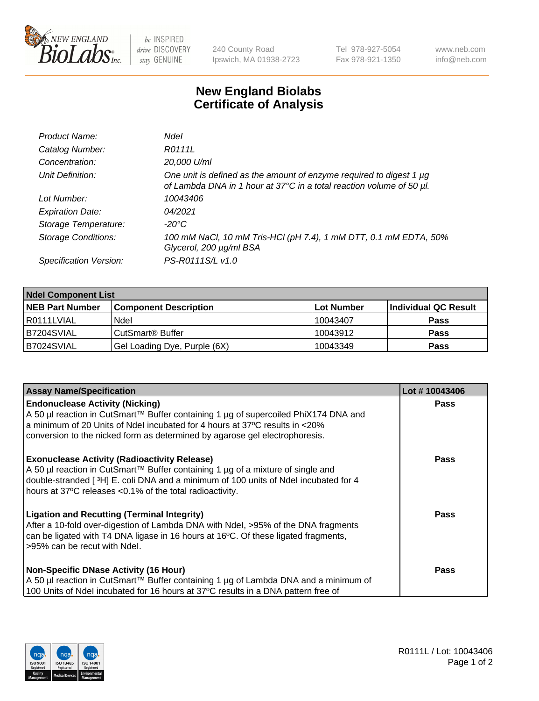

 $be$  INSPIRED drive DISCOVERY stay GENUINE

240 County Road Ipswich, MA 01938-2723 Tel 978-927-5054 Fax 978-921-1350 www.neb.com info@neb.com

## **New England Biolabs Certificate of Analysis**

| Product Name:           | Ndel                                                                                                                                             |
|-------------------------|--------------------------------------------------------------------------------------------------------------------------------------------------|
| Catalog Number:         | R0111L                                                                                                                                           |
| Concentration:          | 20,000 U/ml                                                                                                                                      |
| Unit Definition:        | One unit is defined as the amount of enzyme required to digest 1 $\mu$ g<br>of Lambda DNA in 1 hour at 37°C in a total reaction volume of 50 µl. |
| Lot Number:             | 10043406                                                                                                                                         |
| <b>Expiration Date:</b> | 04/2021                                                                                                                                          |
| Storage Temperature:    | -20°C                                                                                                                                            |
| Storage Conditions:     | 100 mM NaCl, 10 mM Tris-HCl (pH 7.4), 1 mM DTT, 0.1 mM EDTA, 50%<br>Glycerol, 200 µg/ml BSA                                                      |
| Specification Version:  | PS-R0111S/L v1.0                                                                                                                                 |

| <b>Ndel Component List</b> |                              |            |                      |  |  |
|----------------------------|------------------------------|------------|----------------------|--|--|
| <b>NEB Part Number</b>     | <b>Component Description</b> | Lot Number | Individual QC Result |  |  |
| R0111LVIAL                 | Ndel                         | 10043407   | <b>Pass</b>          |  |  |
| IB7204SVIAL                | CutSmart <sup>®</sup> Buffer | 10043912   | <b>Pass</b>          |  |  |
| B7024SVIAL                 | Gel Loading Dye, Purple (6X) | 10043349   | <b>Pass</b>          |  |  |

| <b>Assay Name/Specification</b>                                                                                                                                                                                                                                                           | Lot #10043406 |
|-------------------------------------------------------------------------------------------------------------------------------------------------------------------------------------------------------------------------------------------------------------------------------------------|---------------|
| <b>Endonuclease Activity (Nicking)</b><br>  A 50 µl reaction in CutSmart™ Buffer containing 1 µg of supercoiled PhiX174 DNA and                                                                                                                                                           | <b>Pass</b>   |
| a minimum of 20 Units of Ndel incubated for 4 hours at 37°C results in <20%<br>conversion to the nicked form as determined by agarose gel electrophoresis.                                                                                                                                |               |
| <b>Exonuclease Activity (Radioactivity Release)</b><br>A 50 µl reaction in CutSmart™ Buffer containing 1 µg of a mixture of single and<br>double-stranded [3H] E. coli DNA and a minimum of 100 units of Ndel incubated for 4<br>hours at 37°C releases <0.1% of the total radioactivity. | <b>Pass</b>   |
| Ligation and Recutting (Terminal Integrity)<br>After a 10-fold over-digestion of Lambda DNA with Ndel, >95% of the DNA fragments<br>can be ligated with T4 DNA ligase in 16 hours at 16 <sup>o</sup> C. Of these ligated fragments,<br>l>95% can be recut with Ndel.                      | <b>Pass</b>   |
| <b>Non-Specific DNase Activity (16 Hour)</b>                                                                                                                                                                                                                                              | <b>Pass</b>   |
| A 50 µl reaction in CutSmart™ Buffer containing 1 µg of Lambda DNA and a minimum of<br>100 Units of Ndel incubated for 16 hours at 37°C results in a DNA pattern free of                                                                                                                  |               |